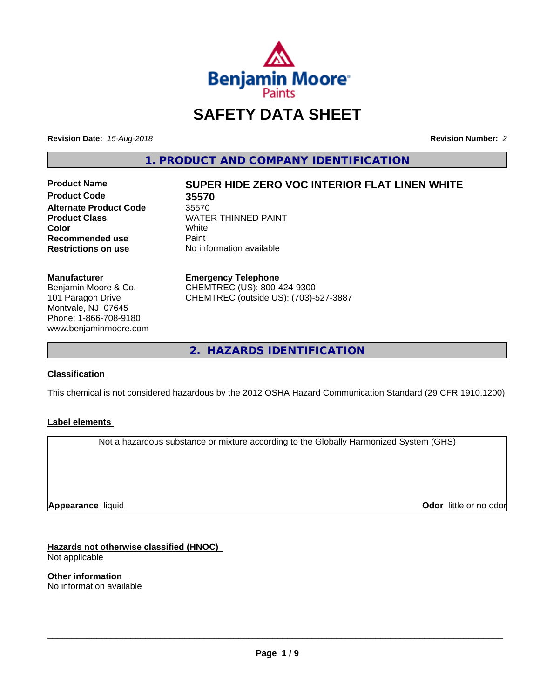

# **SAFETY DATA SHEET**

**Revision Date:** *15-Aug-2018* **Revision Number:** *2*

**1. PRODUCT AND COMPANY IDENTIFICATION**

**Product Code 35570 Alternate Product Code** 35570<br>Product Class **NATE Recommended use** Paint<br> **Restrictions on use** No inf

# **Product Name SUPER HIDE ZERO VOC INTERIOR FLAT LINEN WHITE**

**WATER THINNED PAINT**<br>White **Color** White White **No information available** 

**Manufacturer** Benjamin Moore & Co. 101 Paragon Drive

Montvale, NJ 07645 Phone: 1-866-708-9180 www.benjaminmoore.com **Emergency Telephone**

CHEMTREC (US): 800-424-9300 CHEMTREC (outside US): (703)-527-3887

**2. HAZARDS IDENTIFICATION**

# **Classification**

This chemical is not considered hazardous by the 2012 OSHA Hazard Communication Standard (29 CFR 1910.1200)

### **Label elements**

Not a hazardous substance or mixture according to the Globally Harmonized System (GHS)

**Appearance** liquid

**Odor** little or no odor

**Hazards not otherwise classified (HNOC)** Not applicable

**Other information** No information available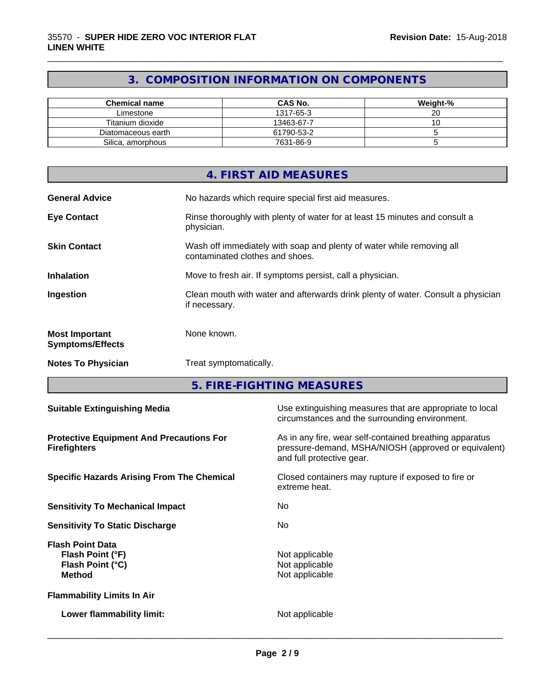# **3. COMPOSITION INFORMATION ON COMPONENTS**

\_\_\_\_\_\_\_\_\_\_\_\_\_\_\_\_\_\_\_\_\_\_\_\_\_\_\_\_\_\_\_\_\_\_\_\_\_\_\_\_\_\_\_\_\_\_\_\_\_\_\_\_\_\_\_\_\_\_\_\_\_\_\_\_\_\_\_\_\_\_\_\_\_\_\_\_\_\_\_\_\_\_\_\_\_\_\_\_\_\_\_\_\_

| Chemical name      | <b>CAS No.</b> | Weight-% |
|--------------------|----------------|----------|
| Limestone          | 1317-65-3      |          |
| Titanium dioxide   | 13463-67-7     | v        |
| Diatomaceous earth | 61790-53-2     |          |
| Silica, amorphous  | 7631-86-9      |          |

|                                                  | 4. FIRST AID MEASURES                                                                                    |
|--------------------------------------------------|----------------------------------------------------------------------------------------------------------|
| <b>General Advice</b>                            | No hazards which require special first aid measures.                                                     |
| <b>Eye Contact</b>                               | Rinse thoroughly with plenty of water for at least 15 minutes and consult a<br>physician.                |
| <b>Skin Contact</b>                              | Wash off immediately with soap and plenty of water while removing all<br>contaminated clothes and shoes. |
| <b>Inhalation</b>                                | Move to fresh air. If symptoms persist, call a physician.                                                |
| Ingestion                                        | Clean mouth with water and afterwards drink plenty of water. Consult a physician<br>if necessary.        |
| <b>Most Important</b><br><b>Symptoms/Effects</b> | None known.                                                                                              |
| <b>Notes To Physician</b>                        | Treat symptomatically.                                                                                   |

**5. FIRE-FIGHTING MEASURES**

| <b>Suitable Extinguishing Media</b>                                              | Use extinguishing measures that are appropriate to local<br>circumstances and the surrounding environment.                                   |
|----------------------------------------------------------------------------------|----------------------------------------------------------------------------------------------------------------------------------------------|
| <b>Protective Equipment And Precautions For</b><br><b>Firefighters</b>           | As in any fire, wear self-contained breathing apparatus<br>pressure-demand, MSHA/NIOSH (approved or equivalent)<br>and full protective gear. |
| <b>Specific Hazards Arising From The Chemical</b>                                | Closed containers may rupture if exposed to fire or<br>extreme heat.                                                                         |
| <b>Sensitivity To Mechanical Impact</b>                                          | No.                                                                                                                                          |
| <b>Sensitivity To Static Discharge</b>                                           | No.                                                                                                                                          |
| <b>Flash Point Data</b><br>Flash Point (°F)<br>Flash Point (°C)<br><b>Method</b> | Not applicable<br>Not applicable<br>Not applicable                                                                                           |
| <b>Flammability Limits In Air</b>                                                |                                                                                                                                              |
| Lower flammability limit:                                                        | Not applicable                                                                                                                               |
|                                                                                  |                                                                                                                                              |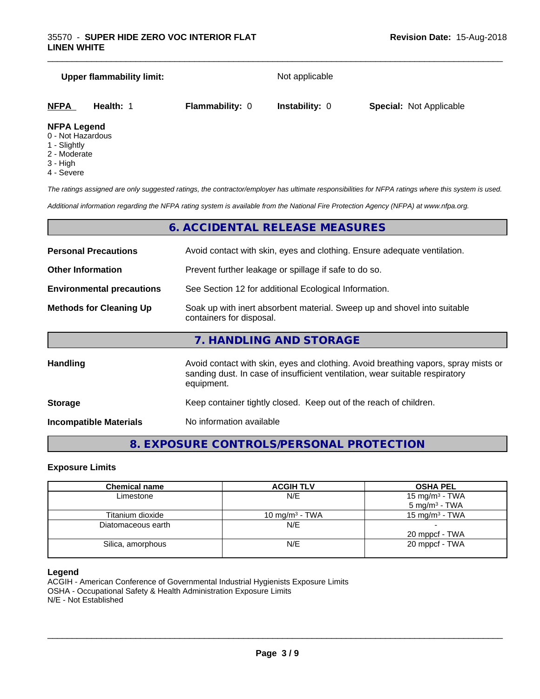#### **Upper flammability limit:** Not applicable

\_\_\_\_\_\_\_\_\_\_\_\_\_\_\_\_\_\_\_\_\_\_\_\_\_\_\_\_\_\_\_\_\_\_\_\_\_\_\_\_\_\_\_\_\_\_\_\_\_\_\_\_\_\_\_\_\_\_\_\_\_\_\_\_\_\_\_\_\_\_\_\_\_\_\_\_\_\_\_\_\_\_\_\_\_\_\_\_\_\_\_\_\_

| <b>NFPA</b>          | <b>Health:</b> | <b>Flammability: 0</b> | <b>Instability: 0</b> | <b>Special: Not Applicable</b> |  |
|----------------------|----------------|------------------------|-----------------------|--------------------------------|--|
| <b>NIFRA LANGARI</b> |                |                        |                       |                                |  |

#### **NFPA Legend**

- 0 Not Hazardous
- 1 Slightly
- 2 Moderate
- 3 High
- 4 Severe

*The ratings assigned are only suggested ratings, the contractor/employer has ultimate responsibilities for NFPA ratings where this system is used.*

*Additional information regarding the NFPA rating system is available from the National Fire Protection Agency (NFPA) at www.nfpa.org.*

# **6. ACCIDENTAL RELEASE MEASURES**

| <b>Personal Precautions</b>      | Avoid contact with skin, eyes and clothing. Ensure adequate ventilation.                                                                                                         |
|----------------------------------|----------------------------------------------------------------------------------------------------------------------------------------------------------------------------------|
| <b>Other Information</b>         | Prevent further leakage or spillage if safe to do so.                                                                                                                            |
| <b>Environmental precautions</b> | See Section 12 for additional Ecological Information.                                                                                                                            |
| <b>Methods for Cleaning Up</b>   | Soak up with inert absorbent material. Sweep up and shovel into suitable<br>containers for disposal.                                                                             |
|                                  | 7. HANDLING AND STORAGE                                                                                                                                                          |
| <b>Handling</b>                  | Avoid contact with skin, eyes and clothing. Avoid breathing vapors, spray mists or<br>sanding dust. In case of insufficient ventilation, wear suitable respiratory<br>equipment. |
| <b>Storage</b>                   | Keep container tightly closed. Keep out of the reach of children.                                                                                                                |

**Incompatible Materials** No information available

# **8. EXPOSURE CONTROLS/PERSONAL PROTECTION**

#### **Exposure Limits**

| <b>Chemical name</b> | <b>ACGIH TLV</b>           | <b>OSHA PEL</b>                                        |
|----------------------|----------------------------|--------------------------------------------------------|
| Limestone            | N/E                        | 15 mg/m <sup>3</sup> - TWA<br>$5 \text{ mg/m}^3$ - TWA |
| Titanium dioxide     | 10 mg/m <sup>3</sup> - TWA | 15 mg/m <sup>3</sup> - TWA                             |
| Diatomaceous earth   | N/E                        | 20 mppcf - TWA                                         |
| Silica, amorphous    | N/E                        | 20 mppcf - TWA                                         |

#### **Legend**

ACGIH - American Conference of Governmental Industrial Hygienists Exposure Limits OSHA - Occupational Safety & Health Administration Exposure Limits N/E - Not Established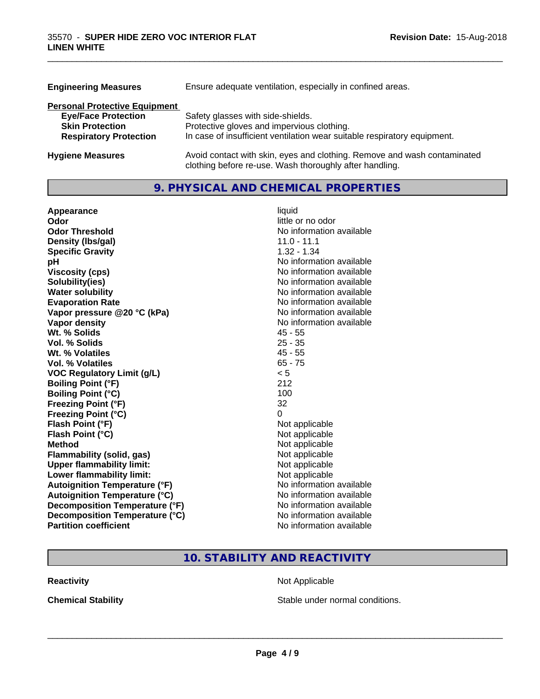| <b>Engineering Measures</b>          | Ensure adequate ventilation, especially in confined areas.                                                                          |  |
|--------------------------------------|-------------------------------------------------------------------------------------------------------------------------------------|--|
| <b>Personal Protective Equipment</b> |                                                                                                                                     |  |
| <b>Eye/Face Protection</b>           | Safety glasses with side-shields.                                                                                                   |  |
| <b>Skin Protection</b>               | Protective gloves and impervious clothing.                                                                                          |  |
| <b>Respiratory Protection</b>        | In case of insufficient ventilation wear suitable respiratory equipment.                                                            |  |
| <b>Hygiene Measures</b>              | Avoid contact with skin, eyes and clothing. Remove and wash contaminated<br>clothing before re-use. Wash thoroughly after handling. |  |

\_\_\_\_\_\_\_\_\_\_\_\_\_\_\_\_\_\_\_\_\_\_\_\_\_\_\_\_\_\_\_\_\_\_\_\_\_\_\_\_\_\_\_\_\_\_\_\_\_\_\_\_\_\_\_\_\_\_\_\_\_\_\_\_\_\_\_\_\_\_\_\_\_\_\_\_\_\_\_\_\_\_\_\_\_\_\_\_\_\_\_\_\_

# **9. PHYSICAL AND CHEMICAL PROPERTIES**

| Appearance                           | liquid                   |
|--------------------------------------|--------------------------|
| Odor                                 | little or no odor        |
| <b>Odor Threshold</b>                | No information available |
| Density (Ibs/gal)                    | $11.0 - 11.1$            |
| <b>Specific Gravity</b>              | $1.32 - 1.34$            |
| рH                                   | No information available |
| <b>Viscosity (cps)</b>               | No information available |
| Solubility(ies)                      | No information available |
| <b>Water solubility</b>              | No information available |
| <b>Evaporation Rate</b>              | No information available |
| Vapor pressure @20 °C (kPa)          | No information available |
| Vapor density                        | No information available |
| Wt. % Solids                         | $45 - 55$                |
| Vol. % Solids                        | $25 - 35$                |
| Wt. % Volatiles                      | $45 - 55$                |
| <b>Vol. % Volatiles</b>              | $65 - 75$                |
| <b>VOC Regulatory Limit (g/L)</b>    | < 5                      |
| <b>Boiling Point (°F)</b>            | 212                      |
| <b>Boiling Point (°C)</b>            | 100                      |
| <b>Freezing Point (°F)</b>           | 32                       |
| <b>Freezing Point (°C)</b>           | 0                        |
| Flash Point (°F)                     | Not applicable           |
| Flash Point (°C)                     | Not applicable           |
| <b>Method</b>                        | Not applicable           |
| Flammability (solid, gas)            | Not applicable           |
| <b>Upper flammability limit:</b>     | Not applicable           |
| Lower flammability limit:            | Not applicable           |
| <b>Autoignition Temperature (°F)</b> | No information available |
| <b>Autoignition Temperature (°C)</b> | No information available |
| Decomposition Temperature (°F)       | No information available |
| Decomposition Temperature (°C)       | No information available |
| <b>Partition coefficient</b>         | No information available |

# **10. STABILITY AND REACTIVITY**

**Reactivity Not Applicable** Not Applicable

**Chemical Stability Chemical Stability** Stable under normal conditions.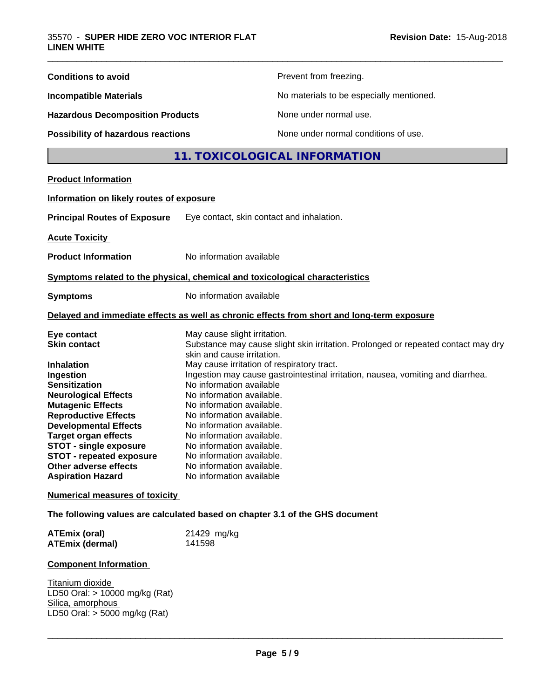| <b>Conditions to avoid</b>                                                                                                                                                                                                                                                                                                        | Prevent from freezing.                                                                                                                                                                                                                                                                                                                                                                                                                                      |  |  |
|-----------------------------------------------------------------------------------------------------------------------------------------------------------------------------------------------------------------------------------------------------------------------------------------------------------------------------------|-------------------------------------------------------------------------------------------------------------------------------------------------------------------------------------------------------------------------------------------------------------------------------------------------------------------------------------------------------------------------------------------------------------------------------------------------------------|--|--|
| <b>Incompatible Materials</b>                                                                                                                                                                                                                                                                                                     | No materials to be especially mentioned.                                                                                                                                                                                                                                                                                                                                                                                                                    |  |  |
| <b>Hazardous Decomposition Products</b>                                                                                                                                                                                                                                                                                           | None under normal use.                                                                                                                                                                                                                                                                                                                                                                                                                                      |  |  |
| <b>Possibility of hazardous reactions</b>                                                                                                                                                                                                                                                                                         | None under normal conditions of use.                                                                                                                                                                                                                                                                                                                                                                                                                        |  |  |
|                                                                                                                                                                                                                                                                                                                                   | 11. TOXICOLOGICAL INFORMATION                                                                                                                                                                                                                                                                                                                                                                                                                               |  |  |
| <b>Product Information</b>                                                                                                                                                                                                                                                                                                        |                                                                                                                                                                                                                                                                                                                                                                                                                                                             |  |  |
| Information on likely routes of exposure                                                                                                                                                                                                                                                                                          |                                                                                                                                                                                                                                                                                                                                                                                                                                                             |  |  |
| <b>Principal Routes of Exposure</b>                                                                                                                                                                                                                                                                                               | Eye contact, skin contact and inhalation.                                                                                                                                                                                                                                                                                                                                                                                                                   |  |  |
| <b>Acute Toxicity</b>                                                                                                                                                                                                                                                                                                             |                                                                                                                                                                                                                                                                                                                                                                                                                                                             |  |  |
| <b>Product Information</b>                                                                                                                                                                                                                                                                                                        | No information available                                                                                                                                                                                                                                                                                                                                                                                                                                    |  |  |
|                                                                                                                                                                                                                                                                                                                                   | Symptoms related to the physical, chemical and toxicological characteristics                                                                                                                                                                                                                                                                                                                                                                                |  |  |
| <b>Symptoms</b>                                                                                                                                                                                                                                                                                                                   | No information available                                                                                                                                                                                                                                                                                                                                                                                                                                    |  |  |
|                                                                                                                                                                                                                                                                                                                                   | Delayed and immediate effects as well as chronic effects from short and long-term exposure                                                                                                                                                                                                                                                                                                                                                                  |  |  |
| Eye contact<br><b>Skin contact</b>                                                                                                                                                                                                                                                                                                | May cause slight irritation.<br>Substance may cause slight skin irritation. Prolonged or repeated contact may dry                                                                                                                                                                                                                                                                                                                                           |  |  |
| Inhalation<br>Ingestion<br><b>Sensitization</b><br><b>Neurological Effects</b><br><b>Mutagenic Effects</b><br><b>Reproductive Effects</b><br><b>Developmental Effects</b><br><b>Target organ effects</b><br><b>STOT - single exposure</b><br><b>STOT - repeated exposure</b><br>Other adverse effects<br><b>Aspiration Hazard</b> | skin and cause irritation.<br>May cause irritation of respiratory tract.<br>Ingestion may cause gastrointestinal irritation, nausea, vomiting and diarrhea.<br>No information available<br>No information available.<br>No information available.<br>No information available.<br>No information available.<br>No information available.<br>No information available.<br>No information available.<br>No information available.<br>No information available |  |  |
| <b>Numerical measures of toxicity</b>                                                                                                                                                                                                                                                                                             |                                                                                                                                                                                                                                                                                                                                                                                                                                                             |  |  |
|                                                                                                                                                                                                                                                                                                                                   | The following values are calculated based on chapter 3.1 of the GHS document                                                                                                                                                                                                                                                                                                                                                                                |  |  |
| <b>ATEmix (oral)</b><br><b>ATEmix (dermal)</b>                                                                                                                                                                                                                                                                                    | 21429 mg/kg<br>141598                                                                                                                                                                                                                                                                                                                                                                                                                                       |  |  |
| <b>Component Information</b>                                                                                                                                                                                                                                                                                                      |                                                                                                                                                                                                                                                                                                                                                                                                                                                             |  |  |
| Titanium dioxide<br>LD50 Oral: > 10000 mg/kg (Rat)<br>Silica, amorphous<br>LD50 Oral: > 5000 mg/kg (Rat)                                                                                                                                                                                                                          |                                                                                                                                                                                                                                                                                                                                                                                                                                                             |  |  |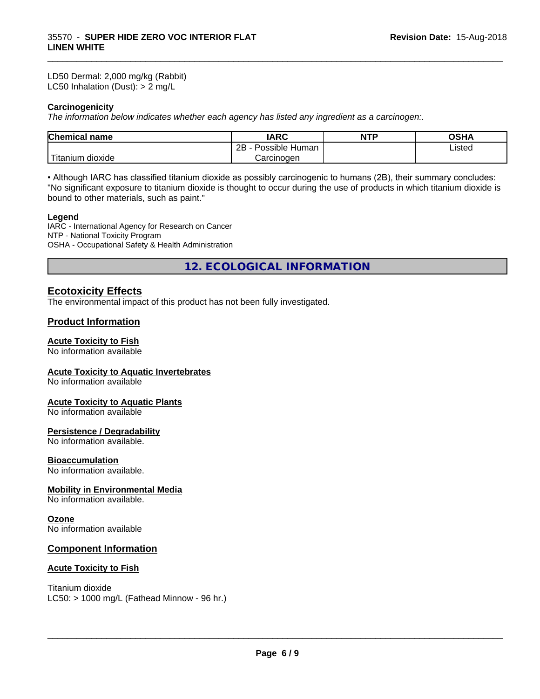LD50 Dermal: 2,000 mg/kg (Rabbit) LC50 Inhalation (Dust): > 2 mg/L

#### **Carcinogenicity**

*The information below indicateswhether each agency has listed any ingredient as a carcinogen:.*

| <b>Chemical</b><br>name     | <b>IARC</b>                 | <b>NTP</b> | $\sim$ $\sim$<br>UJ⊓r |  |
|-----------------------------|-----------------------------|------------|-----------------------|--|
|                             | <br>2B<br>Human<br>Possible |            | Listed                |  |
| . dioxide<br><b>itanium</b> | Carcinogen                  |            |                       |  |

\_\_\_\_\_\_\_\_\_\_\_\_\_\_\_\_\_\_\_\_\_\_\_\_\_\_\_\_\_\_\_\_\_\_\_\_\_\_\_\_\_\_\_\_\_\_\_\_\_\_\_\_\_\_\_\_\_\_\_\_\_\_\_\_\_\_\_\_\_\_\_\_\_\_\_\_\_\_\_\_\_\_\_\_\_\_\_\_\_\_\_\_\_

• Although IARC has classified titanium dioxide as possibly carcinogenic to humans (2B), their summary concludes: "No significant exposure to titanium dioxide is thought to occur during the use of products in which titanium dioxide is bound to other materials, such as paint."

#### **Legend**

IARC - International Agency for Research on Cancer NTP - National Toxicity Program OSHA - Occupational Safety & Health Administration

**12. ECOLOGICAL INFORMATION**

# **Ecotoxicity Effects**

The environmental impact of this product has not been fully investigated.

#### **Product Information**

#### **Acute Toxicity to Fish**

No information available

#### **Acute Toxicity to Aquatic Invertebrates**

No information available

#### **Acute Toxicity to Aquatic Plants**

No information available

#### **Persistence / Degradability**

No information available.

#### **Bioaccumulation**

No information available.

#### **Mobility in Environmental Media**

No information available.

#### **Ozone**

No information available

### **Component Information**

#### **Acute Toxicity to Fish**

Titanium dioxide

 $LC50:$  > 1000 mg/L (Fathead Minnow - 96 hr.)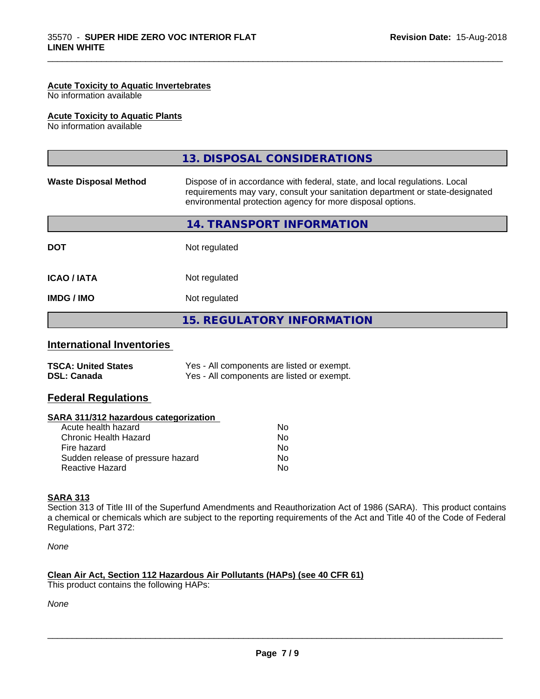#### **Acute Toxicity to Aquatic Invertebrates**

No information available

#### **Acute Toxicity to Aquatic Plants**

No information available

|                              | 13. DISPOSAL CONSIDERATIONS                                                                                                                                                                                               |
|------------------------------|---------------------------------------------------------------------------------------------------------------------------------------------------------------------------------------------------------------------------|
| <b>Waste Disposal Method</b> | Dispose of in accordance with federal, state, and local regulations. Local<br>requirements may vary, consult your sanitation department or state-designated<br>environmental protection agency for more disposal options. |
|                              | 14. TRANSPORT INFORMATION                                                                                                                                                                                                 |
| <b>DOT</b>                   | Not regulated                                                                                                                                                                                                             |
| <b>ICAO/IATA</b>             | Not regulated                                                                                                                                                                                                             |
| <b>IMDG/IMO</b>              | Not regulated                                                                                                                                                                                                             |
|                              | <b>15. REGULATORY INFORMATION</b>                                                                                                                                                                                         |

\_\_\_\_\_\_\_\_\_\_\_\_\_\_\_\_\_\_\_\_\_\_\_\_\_\_\_\_\_\_\_\_\_\_\_\_\_\_\_\_\_\_\_\_\_\_\_\_\_\_\_\_\_\_\_\_\_\_\_\_\_\_\_\_\_\_\_\_\_\_\_\_\_\_\_\_\_\_\_\_\_\_\_\_\_\_\_\_\_\_\_\_\_

# **International Inventories**

| <b>TSCA: United States</b> | Yes - All components are listed or exempt. |
|----------------------------|--------------------------------------------|
| <b>DSL: Canada</b>         | Yes - All components are listed or exempt. |

# **Federal Regulations**

| SARA 311/312 hazardous categorization |  |
|---------------------------------------|--|
|---------------------------------------|--|

| Acute health hazard               | No. |
|-----------------------------------|-----|
| Chronic Health Hazard             | Nο  |
| Fire hazard                       | N٥  |
| Sudden release of pressure hazard | N٥  |
| Reactive Hazard                   | N٥  |

#### **SARA 313**

Section 313 of Title III of the Superfund Amendments and Reauthorization Act of 1986 (SARA). This product contains a chemical or chemicals which are subject to the reporting requirements of the Act and Title 40 of the Code of Federal Regulations, Part 372:

*None*

# **Clean Air Act,Section 112 Hazardous Air Pollutants (HAPs) (see 40 CFR 61)**

This product contains the following HAPs:

*None*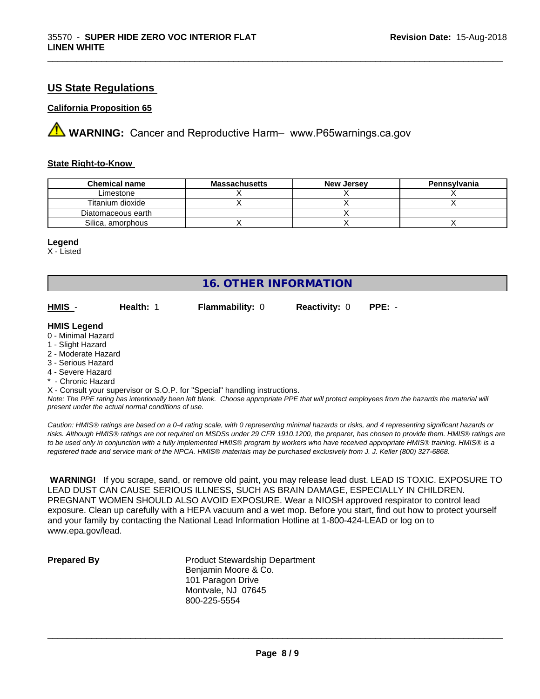# **US State Regulations**

#### **California Proposition 65**

**A** WARNING: Cancer and Reproductive Harm– www.P65warnings.ca.gov

#### **State Right-to-Know**

| <b>Chemical name</b> | <b>Massachusetts</b> | <b>New Jersey</b> | Pennsylvania |
|----------------------|----------------------|-------------------|--------------|
| ∟imestone            |                      |                   |              |
| Titanium dioxide     |                      |                   |              |
| Diatomaceous earth   |                      |                   |              |
| Silica, amorphous    |                      |                   |              |

#### **Legend**

X - Listed

# **16. OTHER INFORMATION**

**HMIS** - **Health:** 1 **Flammability:** 0 **Reactivity:** 0 **PPE:** -

\_\_\_\_\_\_\_\_\_\_\_\_\_\_\_\_\_\_\_\_\_\_\_\_\_\_\_\_\_\_\_\_\_\_\_\_\_\_\_\_\_\_\_\_\_\_\_\_\_\_\_\_\_\_\_\_\_\_\_\_\_\_\_\_\_\_\_\_\_\_\_\_\_\_\_\_\_\_\_\_\_\_\_\_\_\_\_\_\_\_\_\_\_

#### **HMIS Legend**

- 0 Minimal Hazard
- 1 Slight Hazard
- 2 Moderate Hazard
- 3 Serious Hazard
- 4 Severe Hazard
- \* Chronic Hazard

X - Consult your supervisor or S.O.P. for "Special" handling instructions.

*Note: The PPE rating has intentionally been left blank. Choose appropriate PPE that will protect employees from the hazards the material will present under the actual normal conditions of use.*

*Caution: HMISÒ ratings are based on a 0-4 rating scale, with 0 representing minimal hazards or risks, and 4 representing significant hazards or risks. Although HMISÒ ratings are not required on MSDSs under 29 CFR 1910.1200, the preparer, has chosen to provide them. HMISÒ ratings are to be used only in conjunction with a fully implemented HMISÒ program by workers who have received appropriate HMISÒ training. HMISÒ is a registered trade and service mark of the NPCA. HMISÒ materials may be purchased exclusively from J. J. Keller (800) 327-6868.*

 **WARNING!** If you scrape, sand, or remove old paint, you may release lead dust. LEAD IS TOXIC. EXPOSURE TO LEAD DUST CAN CAUSE SERIOUS ILLNESS, SUCH AS BRAIN DAMAGE, ESPECIALLY IN CHILDREN. PREGNANT WOMEN SHOULD ALSO AVOID EXPOSURE.Wear a NIOSH approved respirator to control lead exposure. Clean up carefully with a HEPA vacuum and a wet mop. Before you start, find out how to protect yourself and your family by contacting the National Lead Information Hotline at 1-800-424-LEAD or log on to www.epa.gov/lead.

**Prepared By** Product Stewardship Department Benjamin Moore & Co. 101 Paragon Drive Montvale, NJ 07645 800-225-5554